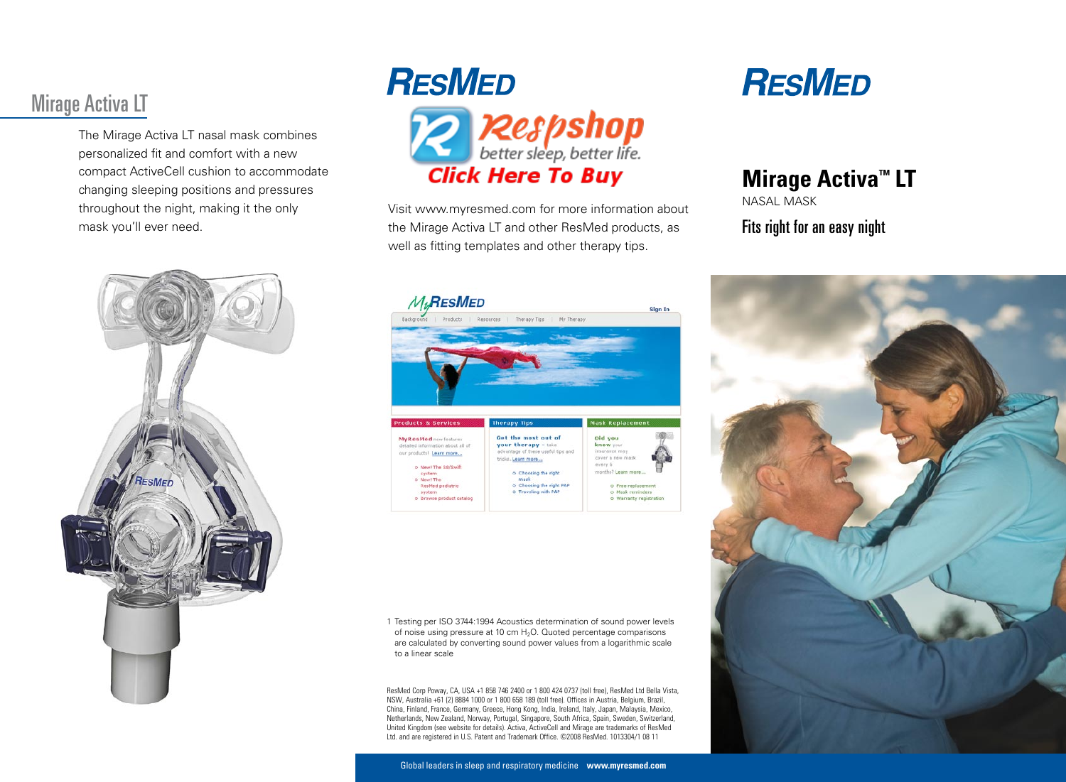# Mirage Activa LT

The Mirage Activa LT nasal mask combines personalized fit and comfort with a new compact ActiveCell cushion to accommodate changing sleeping positions and pressures throughout the night, making it the only mask you'll ever need.





Visit www.myresmed.com for more information about the Mirage Activa LT and other ResMed products, as well as fitting templates and other therapy tips.



1 Testing per ISO 3744:1994 Acoustics determination of sound power levels of noise using pressure at 10 cm  $H_2O$ . Quoted percentage comparisons are calculated by converting sound power values from a logarithmic scale to a linear scale

ResMed Corp Poway, CA, USA +1 858 746 2400 or 1 800 424 0737 (toll free), ResMed Ltd Bella Vista, NSW, Australia +61 (2) 8884 1000 or 1 800 658 189 (toll free). Offices in Austria, Belgium, Brazil, China, Finland, France, Germany, Greece, Hong Kong, India, Ireland, Italy, Japan, Malaysia, Mexico, Netherlands, New Zealand, Norway, Portugal, Singapore, South Africa, Spain, Sweden, Switzerland, United Kingdom (see website for details). Activa, ActiveCell and Mirage are trademarks of ResMed Ltd. and are registered in U.S. Patent and Trademark Office. ©2008 ResMed. 1013304/1 08 11

# **RESMED**

# **Mirage Activa™ LT**

Nasal Mask

#### Fits right for an easy night